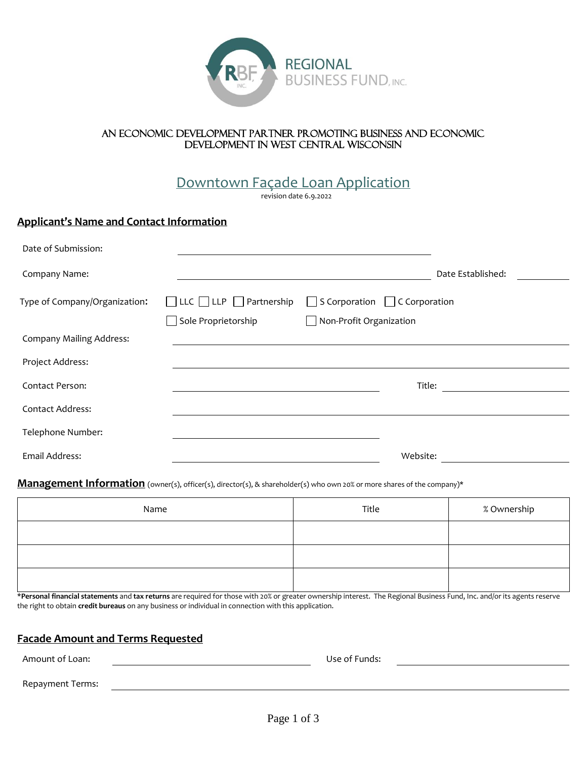

### An economic development partner promoting business and economic development in west central Wisconsin

# Downtown Façade Loan Application

revision date 6.9.2022

# **Applicant's Name and Contact Information**

| Date of Submission:             |                                          |                                                        |                   |
|---------------------------------|------------------------------------------|--------------------------------------------------------|-------------------|
| Company Name:                   |                                          |                                                        | Date Established: |
| Type of Company/Organization:   | $\Box$ LLC $\Box$ LLP $\Box$ Partnership | $\vert$ S Corporation $\vert$ C Corporation<br>$\perp$ |                   |
| <b>Company Mailing Address:</b> | Sole Proprietorship                      | $\Box$ Non-Profit Organization                         |                   |
| Project Address:                |                                          |                                                        |                   |
| Contact Person:                 |                                          | Title:                                                 |                   |
| <b>Contact Address:</b>         |                                          |                                                        |                   |
| Telephone Number:               |                                          |                                                        |                   |
| Email Address:                  |                                          | Website:                                               |                   |

#### **Management Information** (owner(s), officer(s), director(s), & shareholder(s) who own 20% or more shares of the company)\*

| Name | Title | % Ownership |
|------|-------|-------------|
|      |       |             |
|      |       |             |
|      |       |             |

\***Personal financial statements** and **tax returns** are required for those with 20% or greater ownership interest. The Regional Business Fund, Inc. and/or its agents reserve the right to obtain **credit bureaus** on any business or individual in connection with this application.

# **Facade Amount and Terms Requested**

Amount of Loan: Use of Funds: Repayment Terms: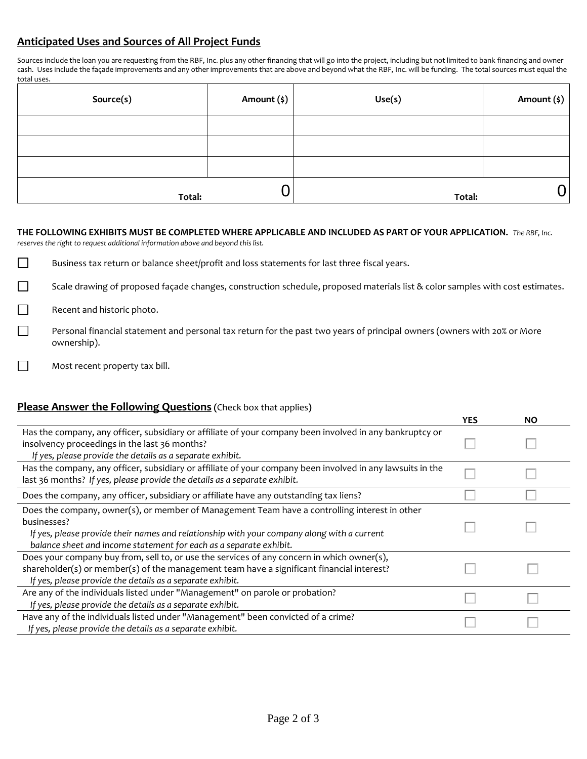# **Anticipated Uses and Sources of All Project Funds**

Sources include the loan you are requesting from the RBF, Inc. plus any other financing that will go into the project, including but not limited to bank financing and owner cash. Uses include the façade improvements and any other improvements that are above and beyond what the RBF, Inc. will be funding. The total sources must equal the total uses.

| Source(s) | Amount $(s)$ | Use(s) | Amount (\$) |
|-----------|--------------|--------|-------------|
|           |              |        |             |
|           |              |        |             |
|           |              |        |             |
| Total:    |              | Total: |             |

**THE FOLLOWING EXHIBITS MUST BE COMPLETED WHERE APPLICABLE AND INCLUDED AS PART OF YOUR APPLICATION.** *The RBF, Inc. reserves the right to request additional information above and beyond this list.* 

 $\Box$ Business tax return or balance sheet/profit and loss statements for last three fiscal years.

Scale drawing of proposed façade changes, construction schedule, proposed materials list & color samples with cost estimates.

Recent and historic photo.

- Personal financial statement and personal tax return for the past two years of principal owners (owners with 20% or More ownership).
- Most recent property tax bill.

## **Please Answer the Following Questions (**Check box that applies**)**

|                                                                                                                                                                                                                                                                                  | <b>YES</b> | <b>NO</b> |
|----------------------------------------------------------------------------------------------------------------------------------------------------------------------------------------------------------------------------------------------------------------------------------|------------|-----------|
| Has the company, any officer, subsidiary or affiliate of your company been involved in any bankruptcy or<br>insolvency proceedings in the last 36 months?<br>If yes, please provide the details as a separate exhibit.                                                           |            |           |
| Has the company, any officer, subsidiary or affiliate of your company been involved in any lawsuits in the<br>last 36 months? If yes, please provide the details as a separate exhibit.                                                                                          |            |           |
| Does the company, any officer, subsidiary or affiliate have any outstanding tax liens?                                                                                                                                                                                           |            |           |
| Does the company, owner(s), or member of Management Team have a controlling interest in other<br>businesses?<br>If yes, please provide their names and relationship with your company along with a current<br>balance sheet and income statement for each as a separate exhibit. |            |           |
| Does your company buy from, sell to, or use the services of any concern in which owner(s),<br>shareholder(s) or member(s) of the management team have a significant financial interest?<br>If yes, please provide the details as a separate exhibit.                             |            |           |
| Are any of the individuals listed under "Management" on parole or probation?<br>If yes, please provide the details as a separate exhibit.                                                                                                                                        |            |           |
| Have any of the individuals listed under "Management" been convicted of a crime?<br>If yes, please provide the details as a separate exhibit.                                                                                                                                    |            |           |